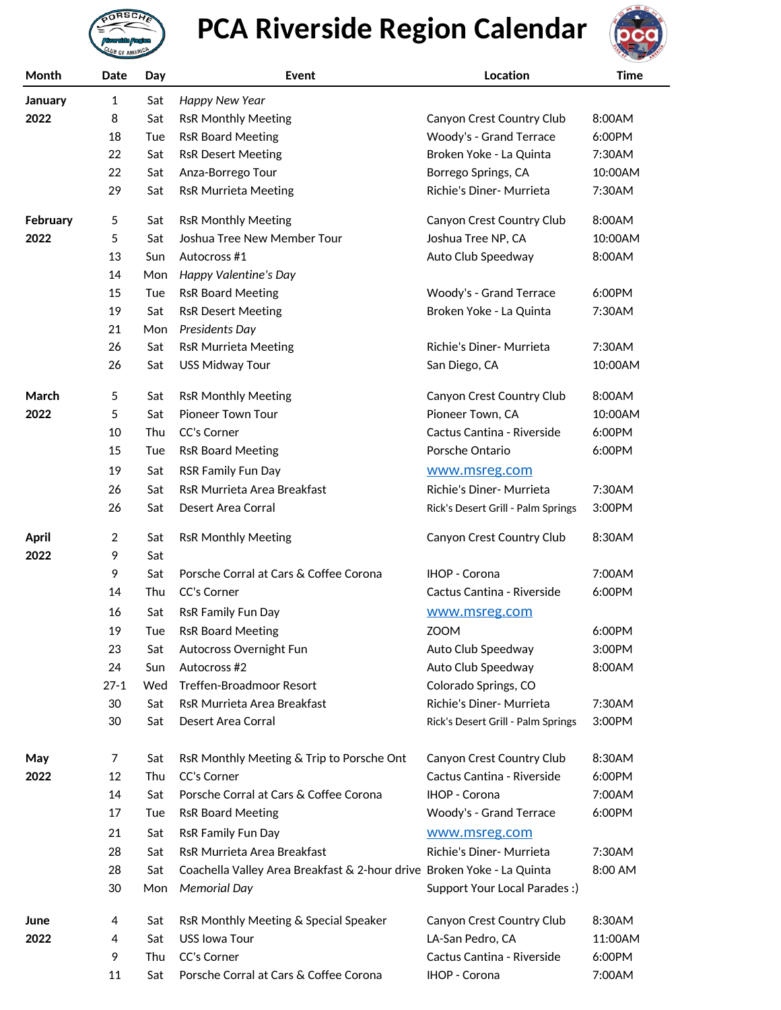

## **PCA Riverside Region Calendar**



| Month        | Date           | Day        | Event                                                                                  | Location                           | Time    |
|--------------|----------------|------------|----------------------------------------------------------------------------------------|------------------------------------|---------|
| January      | 1              | Sat        | <b>Happy New Year</b>                                                                  |                                    |         |
| 2022         | 8              | Sat        | <b>RsR Monthly Meeting</b>                                                             | Canyon Crest Country Club          | 8:00AM  |
|              | 18             | Tue        | <b>RsR Board Meeting</b>                                                               | Woody's - Grand Terrace            | 6:00PM  |
|              | 22             | Sat        | <b>RsR Desert Meeting</b>                                                              | Broken Yoke - La Quinta            | 7:30AM  |
|              | 22             | Sat        | Anza-Borrego Tour                                                                      | Borrego Springs, CA                | 10:00AM |
|              | 29             | Sat        | <b>RsR Murrieta Meeting</b>                                                            | Richie's Diner- Murrieta           | 7:30AM  |
| February     | 5              | Sat        | <b>RsR Monthly Meeting</b>                                                             | Canyon Crest Country Club          | 8:00AM  |
| 2022         | 5              | Sat        | Joshua Tree New Member Tour                                                            | Joshua Tree NP, CA                 | 10:00AM |
|              | 13             | Sun        | Autocross #1                                                                           | Auto Club Speedway                 | 8:00AM  |
|              | 14             | Mon        | Happy Valentine's Day                                                                  |                                    |         |
|              | 15             | Tue        | <b>RsR Board Meeting</b>                                                               | Woody's - Grand Terrace            | 6:00PM  |
|              | 19             | Sat        | <b>RsR Desert Meeting</b>                                                              | Broken Yoke - La Quinta            | 7:30AM  |
|              | 21             | Mon        | Presidents Day                                                                         |                                    |         |
|              | 26             | Sat        | <b>RsR Murrieta Meeting</b>                                                            | Richie's Diner- Murrieta           | 7:30AM  |
|              | 26             | Sat        | <b>USS Midway Tour</b>                                                                 | San Diego, CA                      | 10:00AM |
| March        | 5              | Sat        | <b>RsR Monthly Meeting</b>                                                             | Canyon Crest Country Club          | 8:00AM  |
| 2022         | 5              | Sat        | <b>Pioneer Town Tour</b>                                                               | Pioneer Town, CA                   | 10:00AM |
|              | 10             | Thu        | CC's Corner                                                                            | Cactus Cantina - Riverside         | 6:00PM  |
|              | 15             | Tue        | <b>RsR Board Meeting</b>                                                               | Porsche Ontario                    | 6:00PM  |
|              | 19             | Sat        | <b>RSR Family Fun Day</b>                                                              | www.msreg.com                      |         |
|              | 26             | Sat        | <b>RsR Murrieta Area Breakfast</b>                                                     | Richie's Diner- Murrieta           | 7:30AM  |
|              | 26             | Sat        | Desert Area Corral                                                                     | Rick's Desert Grill - Palm Springs | 3:00PM  |
| <b>April</b> | $\overline{2}$ | Sat        | <b>RsR Monthly Meeting</b>                                                             | Canyon Crest Country Club          | 8:30AM  |
| 2022         | 9              | Sat        |                                                                                        |                                    |         |
|              | 9              | Sat        | Porsche Corral at Cars & Coffee Corona                                                 | <b>IHOP - Corona</b>               | 7:00AM  |
|              | 14             | Thu        | <b>CC's Corner</b>                                                                     | Cactus Cantina - Riverside         | 6:00PM  |
|              | 16             | Sat        | RsR Family Fun Day                                                                     | www.msreg.com                      |         |
|              | 19             | Tue        | <b>RsR Board Meeting</b>                                                               | ZOOM                               | 6:00PM  |
|              | 23             | Sat        | Autocross Overnight Fun                                                                | Auto Club Speedway                 | 3:00PM  |
|              | 24             | Sun        | Autocross #2                                                                           | Auto Club Speedway                 | 8:00AM  |
|              | $27 - 1$       | Wed        | Treffen-Broadmoor Resort                                                               | Colorado Springs, CO               |         |
|              | 30             | Sat        | RsR Murrieta Area Breakfast                                                            | Richie's Diner- Murrieta           | 7:30AM  |
|              | 30             | Sat        | Desert Area Corral                                                                     | Rick's Desert Grill - Palm Springs | 3:00PM  |
| May          | 7              | Sat        | RsR Monthly Meeting & Trip to Porsche Ont                                              | Canyon Crest Country Club          | 8:30AM  |
| 2022         | 12             | Thu        | <b>CC's Corner</b>                                                                     | Cactus Cantina - Riverside         | 6:00PM  |
|              | 14             | Sat        | Porsche Corral at Cars & Coffee Corona                                                 | IHOP - Corona                      | 7:00AM  |
|              | 17             | Tue        | <b>RsR Board Meeting</b>                                                               | Woody's - Grand Terrace            | 6:00PM  |
|              |                |            |                                                                                        |                                    |         |
|              | 21             | Sat        | RsR Family Fun Day                                                                     | www.msreg.com                      |         |
|              | 28             | Sat        | RsR Murrieta Area Breakfast                                                            | Richie's Diner- Murrieta           | 7:30AM  |
|              | 28<br>30       | Sat<br>Mon | Coachella Valley Area Breakfast & 2-hour drive Broken Yoke - La Quinta<br>Memorial Day | Support Your Local Parades :)      | 8:00 AM |
|              |                |            |                                                                                        |                                    |         |
| June         | 4              | Sat        | RsR Monthly Meeting & Special Speaker                                                  | Canyon Crest Country Club          | 8:30AM  |
| 2022         | 4              | Sat        | <b>USS lowa Tour</b>                                                                   | LA-San Pedro, CA                   | 11:00AM |
|              | 9              | Thu        | CC's Corner                                                                            | Cactus Cantina - Riverside         | 6:00PM  |
|              | 11             | Sat        | Porsche Corral at Cars & Coffee Corona                                                 | IHOP - Corona                      | 7:00AM  |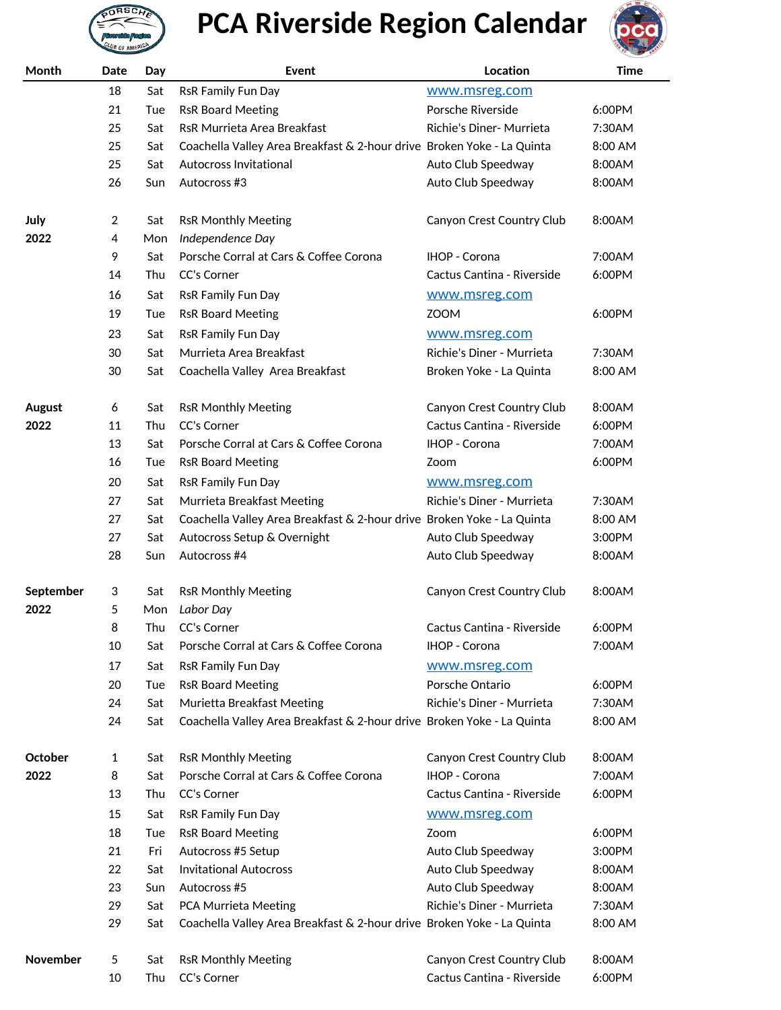

## **PCA Riverside Region Calendar**



| Month     | Date           | Day | Event                                                                  | <b>Location</b>            | <b>Time</b> |
|-----------|----------------|-----|------------------------------------------------------------------------|----------------------------|-------------|
|           | 18             | Sat | <b>RsR Family Fun Day</b>                                              | www.msreg.com              |             |
|           | 21             | Tue | <b>RsR Board Meeting</b>                                               | Porsche Riverside          | 6:00PM      |
|           | 25             | Sat | RsR Murrieta Area Breakfast                                            | Richie's Diner- Murrieta   | 7:30AM      |
|           | 25             | Sat | Coachella Valley Area Breakfast & 2-hour drive Broken Yoke - La Quinta |                            | 8:00 AM     |
|           | 25             | Sat | Autocross Invitational                                                 | Auto Club Speedway         | 8:00AM      |
|           | 26             | Sun | Autocross #3                                                           | Auto Club Speedway         | 8:00AM      |
|           |                |     |                                                                        |                            |             |
| July      | $\overline{2}$ | Sat | <b>RsR Monthly Meeting</b>                                             | Canyon Crest Country Club  | 8:00AM      |
| 2022      | 4              | Mon | Independence Day                                                       |                            |             |
|           | 9              | Sat | Porsche Corral at Cars & Coffee Corona                                 | IHOP - Corona              | 7:00AM      |
|           | 14             | Thu | <b>CC's Corner</b>                                                     | Cactus Cantina - Riverside | 6:00PM      |
|           | 16             | Sat | <b>RsR Family Fun Day</b>                                              | www.msreg.com              |             |
|           | 19             | Tue | <b>RsR Board Meeting</b>                                               | <b>ZOOM</b>                | 6:00PM      |
|           | 23             | Sat | <b>RsR Family Fun Day</b>                                              | www.msreg.com              |             |
|           | 30             | Sat | Murrieta Area Breakfast                                                | Richie's Diner - Murrieta  | 7:30AM      |
|           | 30             | Sat | Coachella Valley Area Breakfast                                        | Broken Yoke - La Quinta    | 8:00 AM     |
|           |                |     |                                                                        |                            |             |
| August    | 6              | Sat | <b>RsR Monthly Meeting</b>                                             | Canyon Crest Country Club  | 8:00AM      |
| 2022      | 11             | Thu | <b>CC's Corner</b>                                                     | Cactus Cantina - Riverside | 6:00PM      |
|           | 13             | Sat | Porsche Corral at Cars & Coffee Corona                                 | IHOP - Corona              | 7:00AM      |
|           | 16             | Tue | <b>RsR Board Meeting</b>                                               | Zoom                       | 6:00PM      |
|           | 20             | Sat | <b>RsR Family Fun Day</b>                                              | www.msreg.com              |             |
|           | 27             | Sat | Murrieta Breakfast Meeting                                             | Richie's Diner - Murrieta  | 7:30AM      |
|           | 27             | Sat | Coachella Valley Area Breakfast & 2-hour drive Broken Yoke - La Quinta |                            | 8:00 AM     |
|           | 27             | Sat | Autocross Setup & Overnight                                            | Auto Club Speedway         | 3:00PM      |
|           | 28             | Sun | Autocross #4                                                           | Auto Club Speedway         | 8:00AM      |
|           |                |     |                                                                        |                            |             |
| September | 3              | Sat | <b>RsR Monthly Meeting</b>                                             | Canyon Crest Country Club  | 8:00AM      |
| 2022      | 5              | Mon | Labor Day                                                              |                            |             |
|           | 8              | Thu | CC's Corner                                                            | Cactus Cantina - Riverside | 6:00PM      |
|           | 10             | Sat | Porsche Corral at Cars & Coffee Corona                                 | IHOP - Corona              | 7:00AM      |
|           | 17             | Sat | <b>RsR Family Fun Day</b>                                              | www.msreg.com              |             |
|           | 20             | Tue | <b>RsR Board Meeting</b>                                               | Porsche Ontario            | 6:00PM      |
|           | 24             | Sat | Murietta Breakfast Meeting                                             | Richie's Diner - Murrieta  | 7:30AM      |
|           | 24             | Sat | Coachella Valley Area Breakfast & 2-hour drive Broken Yoke - La Quinta |                            | 8:00 AM     |
|           |                |     |                                                                        |                            |             |
| October   | 1              | Sat | <b>RsR Monthly Meeting</b>                                             | Canyon Crest Country Club  | 8:00AM      |
| 2022      | 8              | Sat | Porsche Corral at Cars & Coffee Corona                                 | IHOP - Corona              | 7:00AM      |
|           | 13             | Thu | CC's Corner                                                            | Cactus Cantina - Riverside | 6:00PM      |
|           | 15             | Sat | RsR Family Fun Day                                                     | www.msreg.com              |             |
|           | 18             | Tue | <b>RsR Board Meeting</b>                                               | Zoom                       | 6:00PM      |
|           | 21             | Fri | Autocross #5 Setup                                                     | Auto Club Speedway         | 3:00PM      |
|           | 22             | Sat | <b>Invitational Autocross</b>                                          | Auto Club Speedway         | 8:00AM      |
|           | 23             | Sun | Autocross #5                                                           | Auto Club Speedway         | 8:00AM      |
|           | 29             | Sat | PCA Murrieta Meeting                                                   | Richie's Diner - Murrieta  | 7:30AM      |
|           | 29             | Sat | Coachella Valley Area Breakfast & 2-hour drive Broken Yoke - La Quinta |                            | 8:00 AM     |
|           |                |     |                                                                        |                            |             |
| November  | $\sqrt{5}$     | Sat | <b>RsR Monthly Meeting</b>                                             | Canyon Crest Country Club  | 8:00AM      |
|           | 10             | Thu | CC's Corner                                                            | Cactus Cantina - Riverside | 6:00PM      |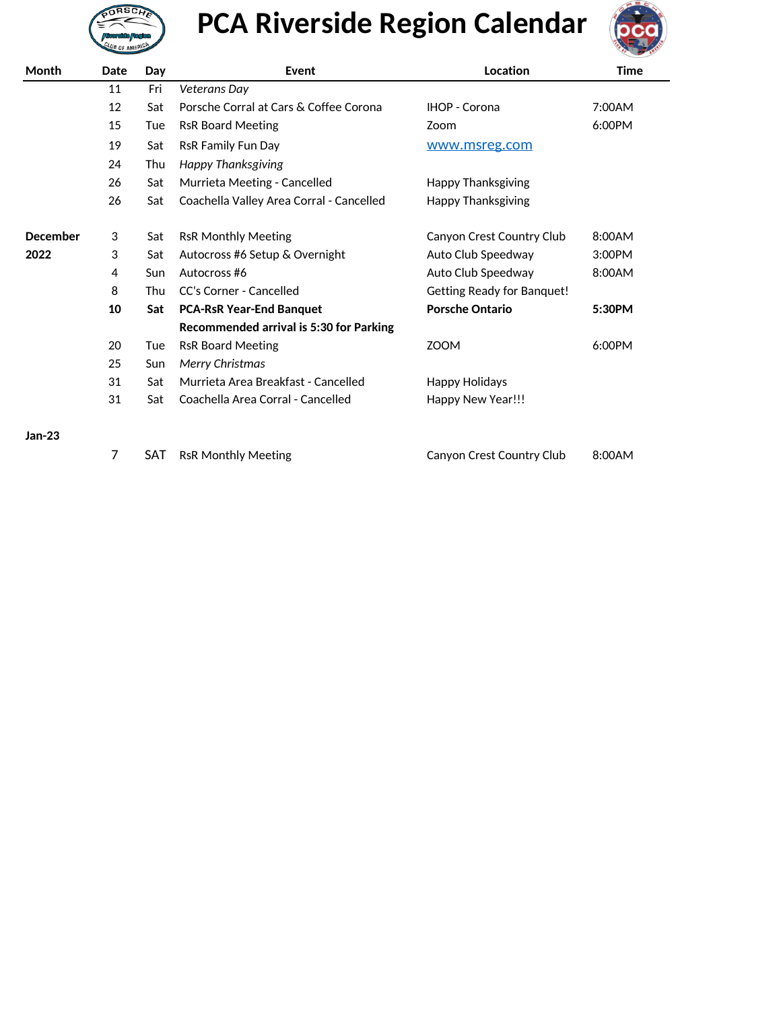

## **PCA Riverside Region Calendar**



| Month           | Date | Day | Event                                          | Location                          | Time   |
|-----------------|------|-----|------------------------------------------------|-----------------------------------|--------|
|                 | 11   | Fri | <b>Veterans Day</b>                            |                                   |        |
|                 | 12   | Sat | Porsche Corral at Cars & Coffee Corona         | <b>IHOP - Corona</b>              | 7:00AM |
|                 | 15   | Tue | <b>RsR Board Meeting</b>                       | Zoom                              | 6:00PM |
|                 | 19   | Sat | <b>RsR Family Fun Day</b>                      | www.msreg.com                     |        |
|                 | 24   | Thu | <b>Happy Thanksgiving</b>                      |                                   |        |
|                 | 26   | Sat | Murrieta Meeting - Cancelled                   | <b>Happy Thanksgiving</b>         |        |
|                 | 26   | Sat | Coachella Valley Area Corral - Cancelled       | <b>Happy Thanksgiving</b>         |        |
| <b>December</b> | 3    | Sat | <b>RsR Monthly Meeting</b>                     | Canyon Crest Country Club         | 8:00AM |
| 2022            | 3    | Sat | Autocross #6 Setup & Overnight                 | Auto Club Speedway                | 3:00PM |
|                 | 4    | Sun | Autocross #6                                   | Auto Club Speedway                | 8:00AM |
|                 | 8    | Thu | CC's Corner - Cancelled                        | <b>Getting Ready for Banquet!</b> |        |
|                 | 10   | Sat | <b>PCA-RsR Year-End Banquet</b>                | <b>Porsche Ontario</b>            | 5:30PM |
|                 |      |     | <b>Recommended arrival is 5:30 for Parking</b> |                                   |        |
|                 | 20   | Tue | <b>RsR Board Meeting</b>                       | <b>ZOOM</b>                       | 6:00PM |
|                 | 25   | Sun | Merry Christmas                                |                                   |        |
|                 | 31   | Sat | Murrieta Area Breakfast - Cancelled            | Happy Holidays                    |        |
|                 | 31   | Sat | Coachella Area Corral - Cancelled              | Happy New Year!!!                 |        |
| <b>Jan-23</b>   |      |     |                                                |                                   |        |
|                 | 7    | SAT | <b>RsR Monthly Meeting</b>                     | <b>Canyon Crest Country Club</b>  | 8:00AM |